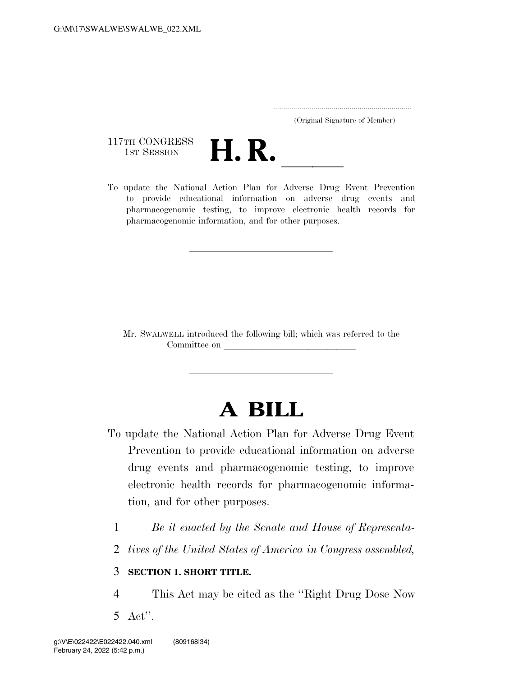..................................................................... (Original Signature of Member)

117TH CONGRESS<br>1st Session



117TH CONGRESS<br>1st SESSION **H. R.** <u>Indicate the National Action</u> Plan for Adverse Drug Event Prevention to provide educational information on adverse drug events and pharmacogenomic testing, to improve electronic health records for pharmacogenomic information, and for other purposes.

Mr. SWALWELL introduced the following bill; which was referred to the Committee on latest states on latest states on latest states on latest states on latest states on  $\mathbb{R}$ 

# **A BILL**

- To update the National Action Plan for Adverse Drug Event Prevention to provide educational information on adverse drug events and pharmacogenomic testing, to improve electronic health records for pharmacogenomic information, and for other purposes.
	- 1 *Be it enacted by the Senate and House of Representa-*
	- 2 *tives of the United States of America in Congress assembled,*

### 3 **SECTION 1. SHORT TITLE.**

4 This Act may be cited as the ''Right Drug Dose Now 5 Act''.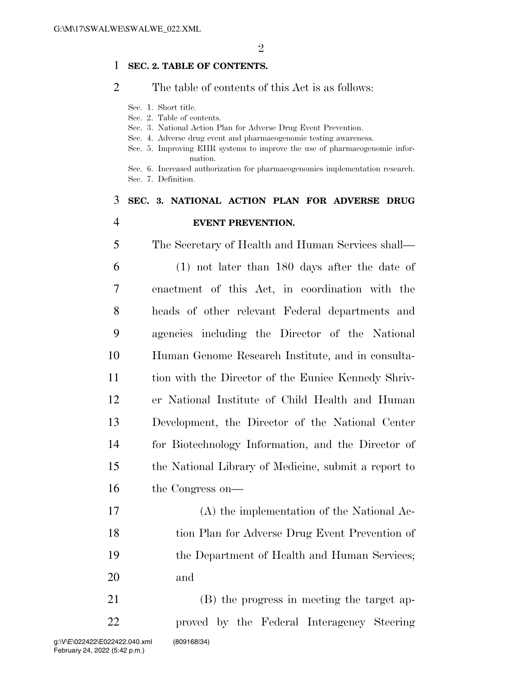#### **SEC. 2. TABLE OF CONTENTS.**

#### The table of contents of this Act is as follows:

- Sec. 1. Short title.
- Sec. 2. Table of contents.
- Sec. 3. National Action Plan for Adverse Drug Event Prevention.
- Sec. 4. Adverse drug event and pharmacogenomic testing awareness.
- Sec. 5. Improving EHR systems to improve the use of pharmacogenomic information.

Sec. 6. Increased authorization for pharmacogenomics implementation research. Sec. 7. Definition.

## **SEC. 3. NATIONAL ACTION PLAN FOR ADVERSE DRUG EVENT PREVENTION.**

 The Secretary of Health and Human Services shall— (1) not later than 180 days after the date of enactment of this Act, in coordination with the heads of other relevant Federal departments and agencies including the Director of the National Human Genome Research Institute, and in consulta- tion with the Director of the Eunice Kennedy Shriv- er National Institute of Child Health and Human Development, the Director of the National Center for Biotechnology Information, and the Director of the National Library of Medicine, submit a report to the Congress on—

 (A) the implementation of the National Ac- tion Plan for Adverse Drug Event Prevention of the Department of Health and Human Services; and

 (B) the progress in meeting the target ap- proved by the Federal Interagency Steering g:\V\E\022422\E022422.040.xml (809168|34)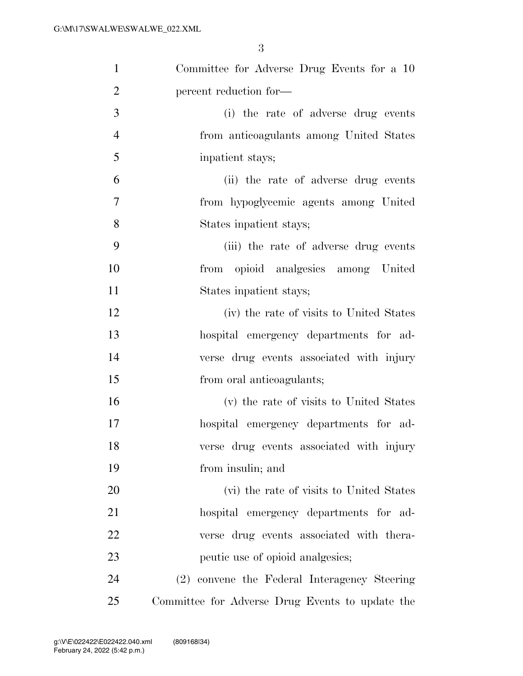| $\mathbf{1}$   | Committee for Adverse Drug Events for a 10      |
|----------------|-------------------------------------------------|
| $\overline{2}$ | percent reduction for-                          |
| 3              | (i) the rate of adverse drug events             |
| $\overline{4}$ | from anticoagulants among United States         |
| 5              | inpatient stays;                                |
| 6              | (ii) the rate of adverse drug events            |
| 7              | from hypoglycemic agents among United           |
| 8              | States inpatient stays;                         |
| 9              | (iii) the rate of adverse drug events           |
| 10             | from opioid analgesics among United             |
| 11             | States inpatient stays;                         |
| 12             | (iv) the rate of visits to United States        |
| 13             | hospital emergency departments for ad-          |
| 14             | verse drug events associated with injury        |
| 15             | from oral anticoagulants;                       |
| 16             | (v) the rate of visits to United States         |
| 17             | hospital emergency departments for ad-          |
| 18             | verse drug events associated with injury        |
| 19             | from insulin; and                               |
| 20             | (vi) the rate of visits to United States        |
| 21             | hospital emergency departments for ad-          |
| 22             | verse drug events associated with thera-        |
| 23             | peutic use of opioid analgesics;                |
| 24             | (2) convene the Federal Interagency Steering    |
| 25             | Committee for Adverse Drug Events to update the |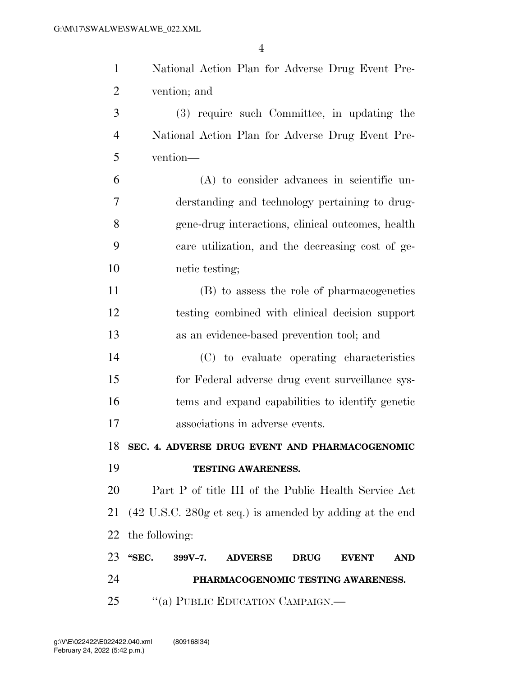| $\mathbf{1}$   | National Action Plan for Adverse Drug Event Pre-                                    |
|----------------|-------------------------------------------------------------------------------------|
| $\overline{2}$ | vention; and                                                                        |
| 3              | (3) require such Committee, in updating the                                         |
| $\overline{4}$ | National Action Plan for Adverse Drug Event Pre-                                    |
| 5              | vention-                                                                            |
| 6              | $(A)$ to consider advances in scientific un-                                        |
| 7              | derstanding and technology pertaining to drug-                                      |
| 8              | gene-drug interactions, clinical outcomes, health                                   |
| 9              | care utilization, and the decreasing cost of ge-                                    |
| 10             | netic testing;                                                                      |
| 11             | (B) to assess the role of pharmacogenetics                                          |
| 12             | testing combined with clinical decision support                                     |
| 13             | as an evidence-based prevention tool; and                                           |
| 14             | (C) to evaluate operating characteristics                                           |
| 15             | for Federal adverse drug event surveillance sys-                                    |
| 16             | tems and expand capabilities to identify genetic                                    |
| 17             | associations in adverse events.                                                     |
|                | 18 SEC. 4. ADVERSE DRUG EVENT AND PHARMACOGENOMIC                                   |
| 19             | TESTING AWARENESS.                                                                  |
| 20             | Part P of title III of the Public Health Service Act                                |
| 21             | $(42 \text{ U.S.C. } 280 \text{g et seq.})$ is amended by adding at the end         |
|                | 22 the following:                                                                   |
| 23             | "SEC.<br>$399V - 7.$<br><b>ADVERSE</b><br><b>EVENT</b><br><b>DRUG</b><br><b>AND</b> |
| 24             | PHARMACOGENOMIC TESTING AWARENESS.                                                  |
| 25             | "(a) PUBLIC EDUCATION CAMPAIGN.—                                                    |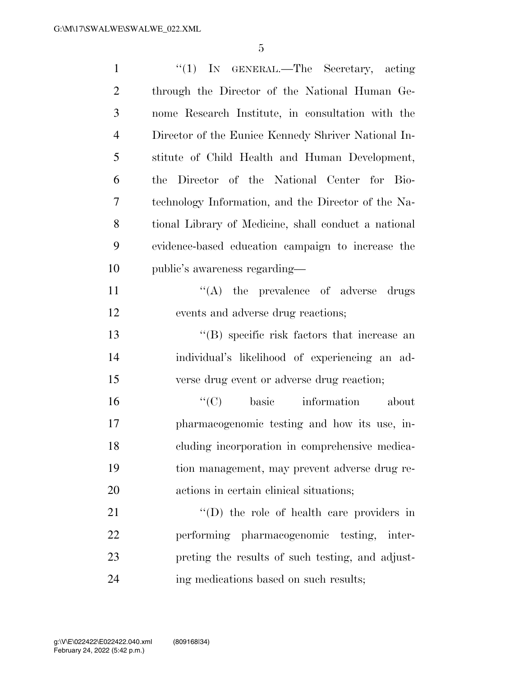| $\mathbf{1}$   | "(1) IN GENERAL.—The Secretary, acting               |
|----------------|------------------------------------------------------|
| $\overline{2}$ | through the Director of the National Human Ge-       |
| 3              | nome Research Institute, in consultation with the    |
| $\overline{4}$ | Director of the Eunice Kennedy Shriver National In-  |
| 5              | stitute of Child Health and Human Development,       |
| 6              | the Director of the National Center for Bio-         |
| 7              | technology Information, and the Director of the Na-  |
| 8              | tional Library of Medicine, shall conduct a national |
| 9              | evidence-based education campaign to increase the    |
| 10             | public's awareness regarding—                        |
| 11             | $\lq\lq$ the prevalence of adverse drugs             |
| 12             | events and adverse drug reactions;                   |
| 13             | $\lq\lq$ specific risk factors that increase an      |
| 14             | individual's likelihood of experiencing an ad-       |
| 15             | verse drug event or adverse drug reaction;           |
| 16             | ``(C)<br>basic information<br>about                  |
| 17             | pharmacogenomic testing and how its use, in-         |
| 18             | cluding incorporation in comprehensive medica-       |
| 19             | tion management, may prevent adverse drug re-        |
| 20             | actions in certain clinical situations;              |
| 21             | $\lq\lq$ the role of health care providers in        |
| 22             | performing pharmacogenomic testing, inter-           |
| 23             | preting the results of such testing, and adjust-     |
| 24             | ing medications based on such results;               |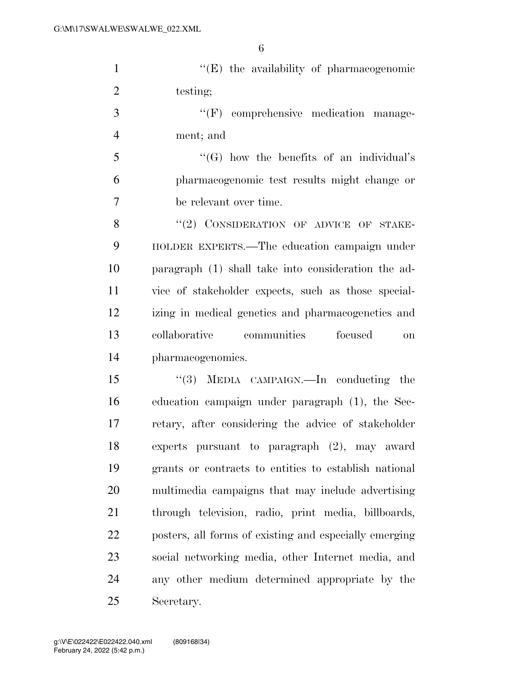''(E) the availability of pharmacogenomic 2 testing;

3  $\cdot$  (F) comprehensive medication manage-ment; and

 ''(G) how the benefits of an individual's pharmacogenomic test results might change or be relevant over time.

8 "(2) CONSIDERATION OF ADVICE OF STAKE- HOLDER EXPERTS.—The education campaign under paragraph (1) shall take into consideration the ad- vice of stakeholder expects, such as those special- izing in medical genetics and pharmacogenetics and collaborative communities focused on pharmacogenomics.

 ''(3) MEDIA CAMPAIGN.—In conducting the education campaign under paragraph (1), the Sec- retary, after considering the advice of stakeholder experts pursuant to paragraph (2), may award grants or contracts to entities to establish national multimedia campaigns that may include advertising through television, radio, print media, billboards, posters, all forms of existing and especially emerging social networking media, other Internet media, and any other medium determined appropriate by the Secretary.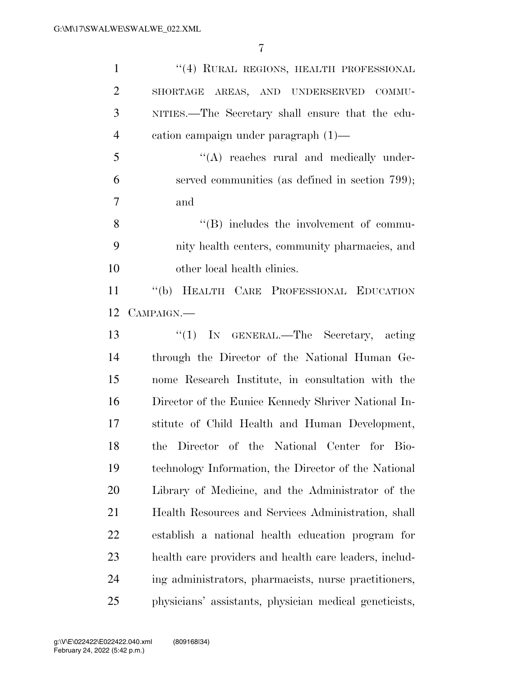| $\mathbf{1}$   | "(4) RURAL REGIONS, HEALTH PROFESSIONAL                |
|----------------|--------------------------------------------------------|
| $\overline{2}$ | SHORTAGE AREAS, AND UNDERSERVED COMMU-                 |
| 3              | NITIES.—The Secretary shall ensure that the edu-       |
| $\overline{4}$ | cation campaign under paragraph $(1)$ —                |
| 5              | $\lq\lq$ reaches rural and medically under-            |
| 6              | served communities (as defined in section 799);        |
| $\overline{7}$ | and                                                    |
| 8              | $\lq\lq (B)$ includes the involvement of commu-        |
| 9              | nity health centers, community pharmacies, and         |
| 10             | other local health clinics.                            |
| 11             | "(b) HEALTH CARE PROFESSIONAL EDUCATION                |
| 12             | CAMPAIGN.—                                             |
| 13             | "(1) IN GENERAL.—The Secretary, acting                 |
| 14             | through the Director of the National Human Ge-         |
| 15             | nome Research Institute, in consultation with the      |
| 16             | Director of the Eunice Kennedy Shriver National In-    |
| 17             | stitute of Child Health and Human Development,         |
| 18             | the Director of the National Center for Bio-           |
| 19             | technology Information, the Director of the National   |
| 20             | Library of Medicine, and the Administrator of the      |
| 21             | Health Resources and Services Administration, shall    |
| 22             | establish a national health education program for      |
| 23             | health care providers and health care leaders, includ- |
| 24             | ing administrators, pharmacists, nurse practitioners,  |
| 25             | physicians' assistants, physician medical geneticists, |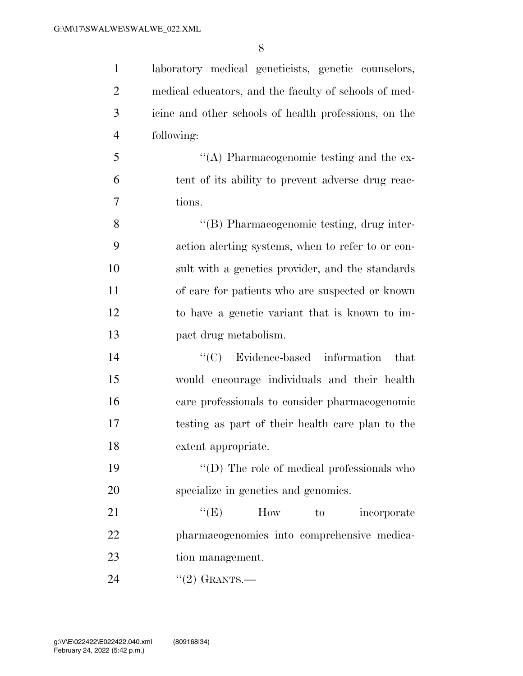laboratory medical geneticists, genetic counselors, medical educators, and the faculty of schools of med- icine and other schools of health professions, on the following:

 ''(A) Pharmacogenomic testing and the ex- tent of its ability to prevent adverse drug reac-tions.

 ''(B) Pharmacogenomic testing, drug inter- action alerting systems, when to refer to or con- sult with a genetics provider, and the standards of care for patients who are suspected or known to have a genetic variant that is known to im-pact drug metabolism.

 ''(C) Evidence-based information that would encourage individuals and their health care professionals to consider pharmacogenomic testing as part of their health care plan to the extent appropriate.

19  $\langle \text{`}(D) \rangle$  The role of medical professionals who specialize in genetics and genomics.

21 "'(E) How to incorporate pharmacogenomics into comprehensive medica-tion management.

24 "(2) GRANTS.—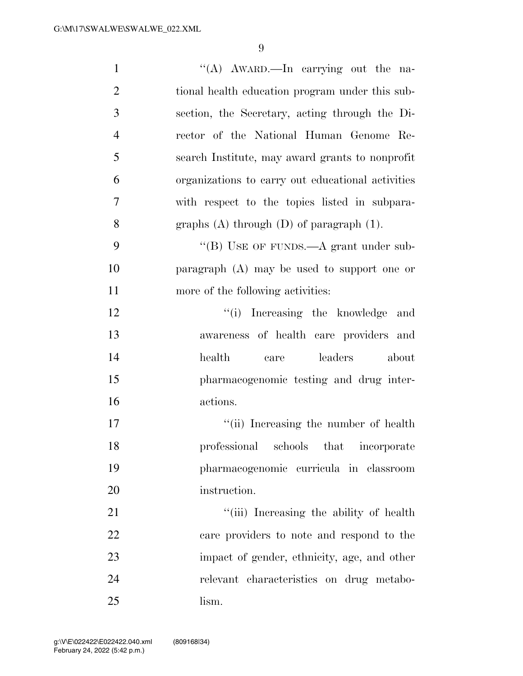| $\mathbf{1}$   | "(A) AWARD.—In carrying out the na-               |
|----------------|---------------------------------------------------|
| $\mathfrak{2}$ | tional health education program under this sub-   |
| 3              | section, the Secretary, acting through the Di-    |
| $\overline{4}$ | rector of the National Human Genome Re-           |
| 5              | search Institute, may award grants to nonprofit   |
| 6              | organizations to carry out educational activities |
| 7              | with respect to the topics listed in subpara-     |
| 8              | graphs $(A)$ through $(D)$ of paragraph $(1)$ .   |
| 9              | "(B) USE OF FUNDS.—A grant under sub-             |
| 10             | paragraph $(A)$ may be used to support one or     |
| 11             | more of the following activities:                 |
| 12             | "(i) Increasing the knowledge<br>and              |
| 13             | awareness of health care providers and            |
| 14             | leaders<br>health<br>about<br>care                |
| 15             | pharmacogenomic testing and drug inter-           |
| 16             | actions.                                          |
| 17             | "(ii) Increasing the number of health             |
| 18             | professional schools that incorporate             |
| 19             | pharmacogenomic curricula in classroom            |
| 20             | instruction.                                      |
| 21             | "(iii) Increasing the ability of health           |
| 22             | care providers to note and respond to the         |
| 23             | impact of gender, ethnicity, age, and other       |
| 24             |                                                   |
|                | relevant characteristics on drug metabo-          |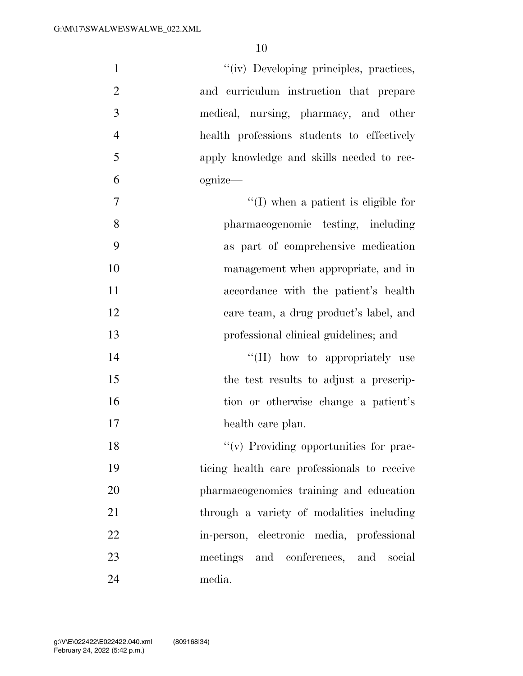| $\mathbf{1}$   | "(iv) Developing principles, practices,     |
|----------------|---------------------------------------------|
| $\overline{2}$ | and curriculum instruction that prepare     |
| 3              | medical, nursing, pharmacy, and other       |
| $\overline{4}$ | health professions students to effectively  |
| 5              | apply knowledge and skills needed to rec-   |
| 6              | ognize—                                     |
| 7              | $\lq\lq$ (I) when a patient is eligible for |
| 8              | pharmacogenomic testing, including          |
| 9              | as part of comprehensive medication         |
| 10             | management when appropriate, and in         |
| 11             | accordance with the patient's health        |
| 12             | care team, a drug product's label, and      |
| 13             | professional clinical guidelines; and       |
| 14             | "(II) how to appropriately use              |
| 15             | the test results to adjust a prescrip-      |
| 16             | tion or otherwise change a patient's        |
| 17             | health care plan.                           |
| 18             | $\lq\lq$ Providing opportunities for prac-  |
| 19             | ticing health care professionals to receive |
| 20             | pharmacogenomics training and education     |
| 21             | through a variety of modalities including   |
| 22             | in-person, electronic media, professional   |
| 23             | meetings and conferences, and social        |
| 24             | media.                                      |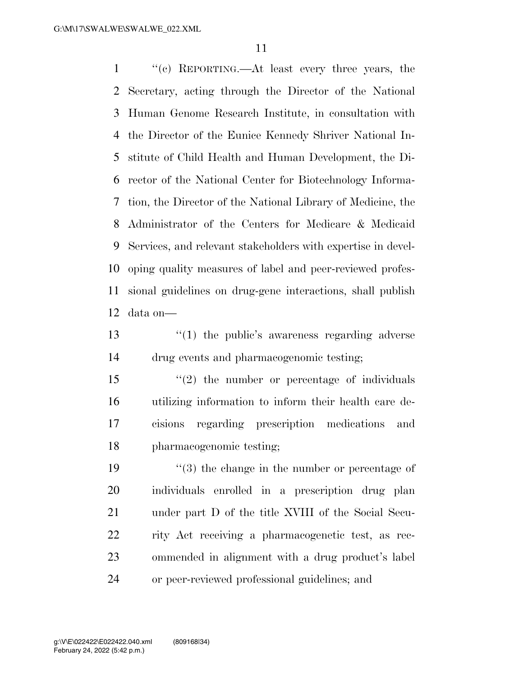''(c) REPORTING.—At least every three years, the Secretary, acting through the Director of the National Human Genome Research Institute, in consultation with the Director of the Eunice Kennedy Shriver National In- stitute of Child Health and Human Development, the Di- rector of the National Center for Biotechnology Informa- tion, the Director of the National Library of Medicine, the Administrator of the Centers for Medicare & Medicaid Services, and relevant stakeholders with expertise in devel- oping quality measures of label and peer-reviewed profes- sional guidelines on drug-gene interactions, shall publish data on—

13 ''(1) the public's awareness regarding adverse drug events and pharmacogenomic testing;

 ''(2) the number or percentage of individuals utilizing information to inform their health care de- cisions regarding prescription medications and pharmacogenomic testing;

 $\frac{1}{3}$  the change in the number or percentage of individuals enrolled in a prescription drug plan under part D of the title XVIII of the Social Secu- rity Act receiving a pharmacogenetic test, as rec- ommended in alignment with a drug product's label or peer-reviewed professional guidelines; and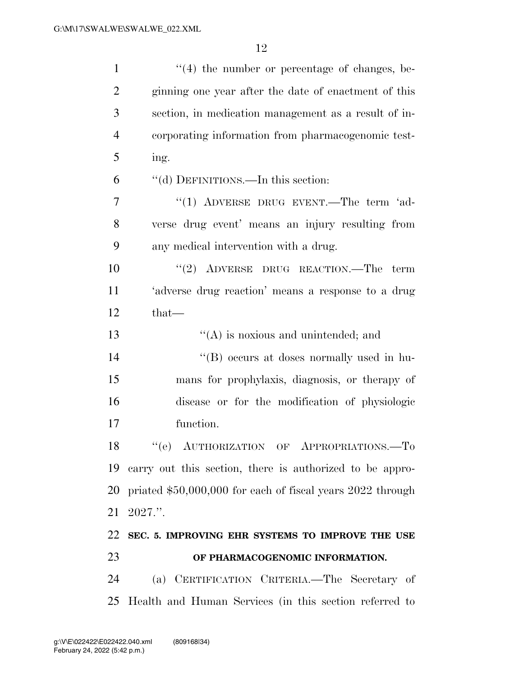| $\mathbf{1}$   | $(4)$ the number or percentage of changes, be-             |
|----------------|------------------------------------------------------------|
| $\overline{2}$ | ginning one year after the date of enactment of this       |
| 3              | section, in medication management as a result of in-       |
| $\overline{4}$ | corporating information from pharmacogenomic test-         |
| 5              | ing.                                                       |
| 6              | "(d) DEFINITIONS.—In this section:                         |
| 7              | " $(1)$ ADVERSE DRUG EVENT.—The term 'ad-                  |
| 8              | verse drug event' means an injury resulting from           |
| 9              | any medical intervention with a drug.                      |
| 10             | $(2)$ ADVERSE DRUG REACTION.—The term                      |
| 11             | 'adverse drug reaction' means a response to a drug         |
| 12             | $that$ —                                                   |
| 13             | $\lq\lq$ is noxious and unintended; and                    |
| 14             | "(B) occurs at doses normally used in hu-                  |
| 15             | mans for prophylaxis, diagnosis, or therapy of             |
| 16             | disease or for the modification of physiologic             |
| 17             | function.                                                  |
| 18             | "(e) AUTHORIZATION OF APPROPRIATIONS.-To                   |
| 19             | carry out this section, there is authorized to be appro-   |
| 20             | priated \$50,000,000 for each of fiscal years 2022 through |
| 21             | 2027."                                                     |
| 22             | SEC. 5. IMPROVING EHR SYSTEMS TO IMPROVE THE USE           |
| 23             | OF PHARMACOGENOMIC INFORMATION.                            |
| 24             | (a) CERTIFICATION CRITERIA.—The Secretary of               |
| 25             | Health and Human Services (in this section referred to     |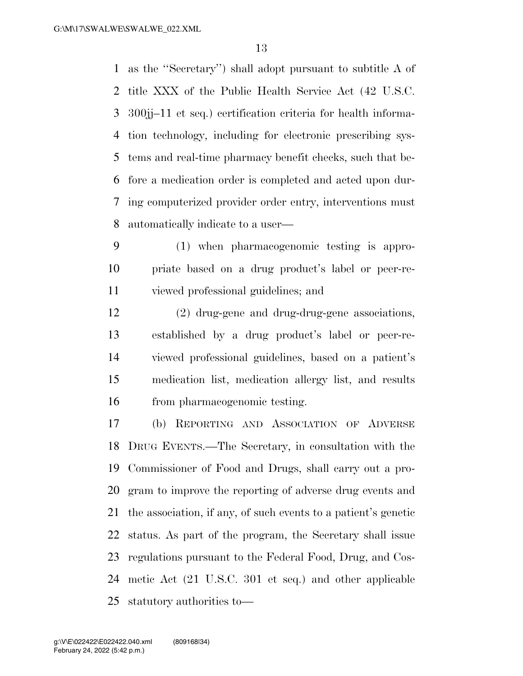as the ''Secretary'') shall adopt pursuant to subtitle A of title XXX of the Public Health Service Act (42 U.S.C. 300jj–11 et seq.) certification criteria for health informa- tion technology, including for electronic prescribing sys- tems and real-time pharmacy benefit checks, such that be- fore a medication order is completed and acted upon dur- ing computerized provider order entry, interventions must automatically indicate to a user—

 (1) when pharmacogenomic testing is appro- priate based on a drug product's label or peer-re-viewed professional guidelines; and

 (2) drug-gene and drug-drug-gene associations, established by a drug product's label or peer-re- viewed professional guidelines, based on a patient's medication list, medication allergy list, and results from pharmacogenomic testing.

 (b) REPORTING AND ASSOCIATION OF ADVERSE DRUG EVENTS.—The Secretary, in consultation with the Commissioner of Food and Drugs, shall carry out a pro- gram to improve the reporting of adverse drug events and the association, if any, of such events to a patient's genetic status. As part of the program, the Secretary shall issue regulations pursuant to the Federal Food, Drug, and Cos- metic Act (21 U.S.C. 301 et seq.) and other applicable statutory authorities to—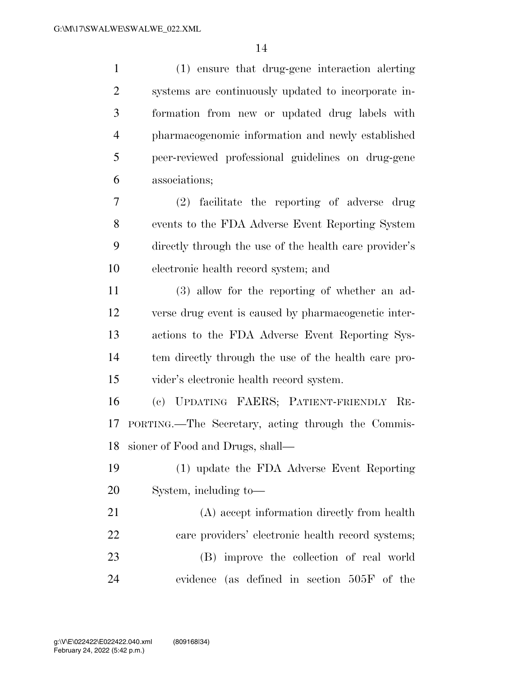| $\mathbf{1}$   | (1) ensure that drug-gene interaction alerting         |
|----------------|--------------------------------------------------------|
| $\overline{2}$ | systems are continuously updated to incorporate in-    |
| 3              | formation from new or updated drug labels with         |
| $\overline{4}$ | pharmacogenomic information and newly established      |
| 5              | peer-reviewed professional guidelines on drug-gene     |
| 6              | associations;                                          |
| 7              | (2) facilitate the reporting of adverse drug           |
| 8              | events to the FDA Adverse Event Reporting System       |
| 9              | directly through the use of the health care provider's |
| 10             | electronic health record system; and                   |
| 11             | (3) allow for the reporting of whether an ad-          |
| 12             | verse drug event is caused by pharmacogenetic inter-   |
| 13             | actions to the FDA Adverse Event Reporting Sys-        |
| 14             | tem directly through the use of the health care pro-   |
| 15             | vider's electronic health record system.               |
| 16             | (c) UPDATING FAERS; PATIENT-FRIENDLY RE-               |
| 17             | PORTING.—The Secretary, acting through the Commis-     |
|                | 18 sioner of Food and Drugs, shall-                    |
| 19             | (1) update the FDA Adverse Event Reporting             |
| 20             | System, including to-                                  |
| 21             | (A) accept information directly from health            |
| 22             | care providers' electronic health record systems;      |
| 23             | (B) improve the collection of real world               |
| 24             | evidence (as defined in section 505F of the            |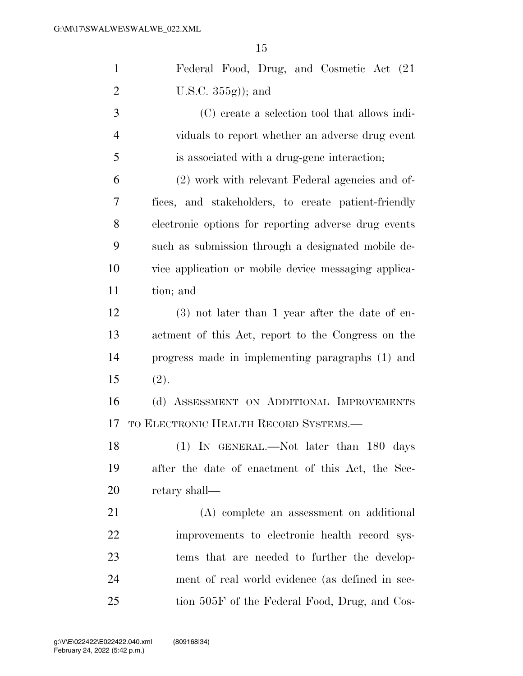| $\mathbf{1}$   | Federal Food, Drug, and Cosmetic Act (21)            |
|----------------|------------------------------------------------------|
| $\overline{2}$ | U.S.C. $355g$ ); and                                 |
| 3              | (C) create a selection tool that allows indi-        |
| $\overline{4}$ | viduals to report whether an adverse drug event      |
| 5              | is associated with a drug-gene interaction;          |
| 6              | (2) work with relevant Federal agencies and of-      |
| 7              | fices, and stakeholders, to create patient-friendly  |
| 8              | electronic options for reporting adverse drug events |
| 9              | such as submission through a designated mobile de-   |
| 10             | vice application or mobile device messaging applica- |
| 11             | tion; and                                            |
| 12             | $(3)$ not later than 1 year after the date of en-    |
| 13             | actment of this Act, report to the Congress on the   |
| 14             | progress made in implementing paragraphs (1) and     |
| 15             | (2).                                                 |
| 16             | (d) ASSESSMENT ON ADDITIONAL IMPROVEMENTS            |
| 17             | TO ELECTRONIC HEALTH RECORD SYSTEMS.-                |
| 18             | (1) IN GENERAL.—Not later than 180 days              |
| 19             | after the date of enactment of this Act, the Sec-    |
| <b>20</b>      | retary shall—                                        |
| 21             | (A) complete an assessment on additional             |
| 22             | improvements to electronic health record sys-        |
| 23             | tems that are needed to further the develop-         |
| 24             | ment of real world evidence (as defined in sec-      |
| 25             | tion 505F of the Federal Food, Drug, and Cos-        |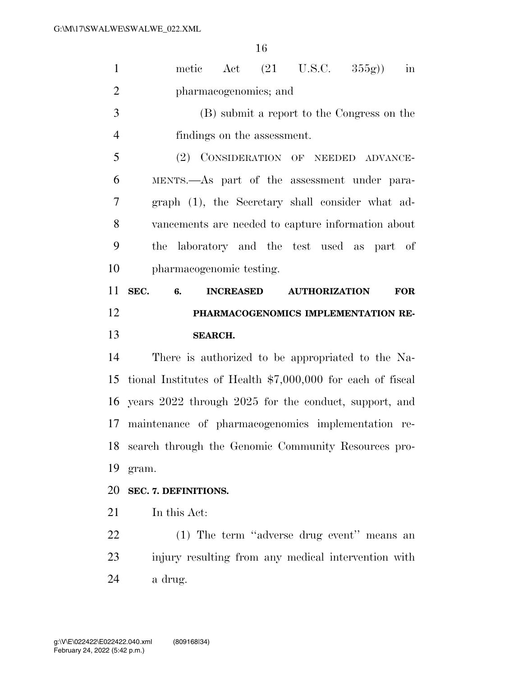| $\mathbf{1}$                           | in<br>metic Act $(21 \text{ U.S.C. } 355g)$                          |
|----------------------------------------|----------------------------------------------------------------------|
| $\overline{2}$                         | pharmacogenomics; and                                                |
| 3                                      | (B) submit a report to the Congress on the                           |
| $\overline{4}$                         | findings on the assessment.                                          |
| 5                                      | (2) CONSIDERATION OF NEEDED ADVANCE-                                 |
| 6                                      | MENTS.—As part of the assessment under para-                         |
| $\overline{7}$                         | graph (1), the Secretary shall consider what ad-                     |
| 8                                      | vancements are needed to capture information about                   |
| 9                                      | the laboratory and the test used as part of                          |
| 10                                     | pharmacogenomic testing.                                             |
| 11                                     | SEC.<br>6.<br><b>INCREASED</b><br><b>AUTHORIZATION</b><br><b>FOR</b> |
| 12                                     | PHARMACOGENOMICS IMPLEMENTATION RE-                                  |
|                                        |                                                                      |
| 13                                     | <b>SEARCH.</b>                                                       |
| 14                                     | There is authorized to be appropriated to the Na-                    |
|                                        | tional Institutes of Health $$7,000,000$ for each of fiscal          |
|                                        | years 2022 through 2025 for the conduct, support, and                |
|                                        | 17 maintenance of pharmacogenomics implementation re-                |
|                                        | search through the Genomic Community Resources pro-                  |
|                                        | gram.                                                                |
|                                        | SEC. 7. DEFINITIONS.                                                 |
|                                        | In this Act:                                                         |
| 15<br>16<br>18<br>19<br>20<br>21<br>22 | (1) The term "adverse drug event" means an                           |
| 23                                     | injury resulting from any medical intervention with                  |